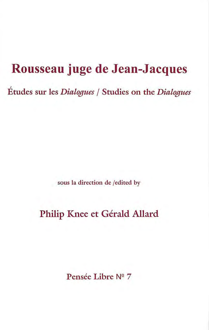# **Rousseau juge de Jean-Jacques**

, Etudes sur les *Dialogues* / Studies on the *Dialogues* 

sous la direction de /edited by

## Philip Knee et Gérald Allard

Pensée Libre Nº 7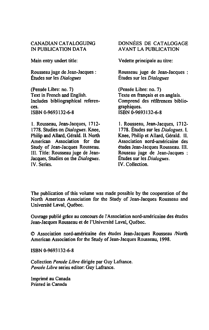#### CANADIAN CATALOGUING IN PUBLICATION DATA

Main entry undert title:

Rousseau juge de Jean-Jacques: Études sur les *Dialogues* 

(Pensée Libre: no. 7) Text in French and English. lncludes bibliographical references. ISBN 0-9693132-6-8

l. Rousseau, Jean-Jacques, 1712- 1778. Studies on *Dialogues.* Knee, Philip and Allard, Gérald. Il. North American Association for the Study of Jean-Jacques Rousseau. III. Title: Rousseau juge de Jean-Jacques, Studies on the *Dialogues.*  IV. Series.

#### DONNÉES DE CATALOGAGE A VANT LA PUBLICATION

Vedette principale au titre:

Rousseau juge de Jean-Jacques: Études sur les *Dialogues* 

(Pensée Libre: no. 7) Texte en français et en anglais. Comprend des références bibliographiques. ISBN 0-9693132-6-8

1. Rousseau, Jean-Jacques, 1712- 1778. Études sur les *Dialogues. 1.*  Knee, Philip et Allard, Gérald. Il. Association nord-américaine des études Jean-Jacques Rousseau. III. Rouseau juge de Jean-Jacques Études sur les *Dialogues.*  IV. Collection.

The publication of this volume was made possible by the cooperation of the North American Association for the Study of Jean-Jacques Rousseau and Université Laval, Québec.

Ouvrage publié grâce au concours de "Association nord-américaine des études Jean-Jacques Rousseau et de l'Université Laval, Québec.

© Association nord-américaine des études Jean-Jacques Rousseau /North American Association for the Study of Jean-Jacques Rousseau, 1998.

ISBN 0-9693132-6-8

Collection *Pensée Libre* dirigée par Guy Lafrance. *Pensée Libre* series editor: Guy Lafrance.

Imprimé au Canada Printed in Canada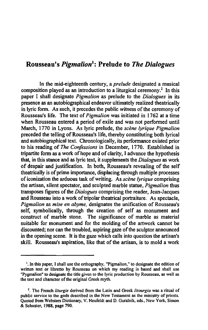### Rousseau's *Pigmalion*<sup>l</sup> : Prelude to *The Dialogues*

In the mid-eighteenth century, a *prelude* designated a musical composition played as an introduction to a liturgical ceremony.<sup>2</sup> In this paper 1 shall designate *Pigmalion* as prelude to the *Dialogues* in its presence as an autobiographical endeavor ultimately realized theatrically in lyric form. As such, it precedes the public witness of the ceremony of Rousseau's life. The text of *Pigmalion* was initiated in 1762 at a time when Rousseau entered a period of exile and was not performed until March, 1770 in Lyons. As lyric prelude, the *scène lyrique Pigmalion*  preceded the telling of Rousseau's life, thereby constituting both lyrical and autobiographical text. Chronologically, its performance existed prior to his reading of *The Confessions* in December, 1770. Established in tripartite form as a work ofhope and of clarity, 1 advance the hypothesis that, in this stance and as lyric text, it supplements the *Dialogues* as work of despair and justification. In both. Rousseau's revealing of the self theatrically is of prime importance, displacing through multiple processes of iconization the arduous task of writing. As *scène lyrique* comprising the artisan, silent spectator, and sculpted marble statue, *Pigmalion* thus transposes figures of the *Dialogues* comprising the reader, Jean-Jacques and Rousseau into a work of tripolar theatrical portraiture. As spectacle, *Pigmalion* as *mise en abyme.* designates the unification of Rousseau's self, symbolically, through the creation of self as monument and construct of marble stone. The significance of marble as material suitable for monument and for the molding of the artwork cannot be discounted; nor can the troubled, aspiring gaze of the sculptor announced in the opening scene. It is the gaze which calls into question the artisan's skill. Rousseau's aspiration, like that of the artisan, is to mold a work

<sup>&</sup>lt;sup>1</sup>. In this paper, I shall use the orthography, "Pigmalion," to designate the edition of written text or libretto by Rousseau on which my reading is based and shall use "Pygmalion" to designate the title given to the lyric production by Rousseau, as weil as the text and character of the original Greek myth.

l. The French *liturgie* derived from the Latin and Greek *litourgia* was a ritual of public service to the gods described in the New Testament as the ministry of priests. Quoted from Websters Dictionary, V. Neufeldt and D. Guralnik, eds., New York, Simon & Schuster, 1988, page 790.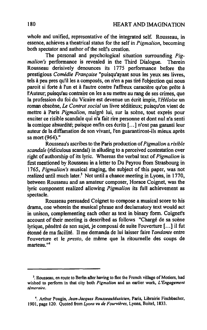whole and unified, representative of the integrated self. Rousseau, in essence, achieves a theatrical status for the self in *Pigmalion,* becoming both spectator and author of the selfs creation.

The personal and psychological situation surrounding *Pigmalion's* performance is revealed in the Third Dialogue. Rousseau derisively denounces its 1775 performance before the prestigious *Comédie Française* "puisqu'ayant sous les yeux ses livres, tels à peu pres qu'il les a composés, on n'en a pas tiré l'objection qui nous paroit si forte à l'un et à l'autre contre l'affreux caractère qu'on prête à l'Auteur; puisqu'au contraire on les a su mettre au rang de ses crimes, que la profession du foi du Vicaire est devenue un écrit impie, *l'Héloise* un roman obscène, *Le Contrat social* un livre séditieux; puisqu'on vient de mettre à Paris *Pigmalion,* malgré lui, sur la scène, tout exprès pour exciter ce risible scandale qui n'a fait rire personne et dont nul n'a senti la comique absurdité; puisque enfin ces écrits [...] n'ont pas garanti leur auteur de la diffamation de son vivant, l'en guarantiront-ils mieux après sa mort (964)."

Rousseau's ascribes to the Paris production of *Pigmalion* a *risible scandale* (ridiculous scandai) in alluding to a perceived contestation over right of authorship of its lyric. Whereas the verbal text of *Pigmalion* is first mentioned by Rousseau in a letter to Du Peyrou from Strasbourg in *1765, Pigmalion's* musical staging, the subject of this paper, was not realized until much later.<sup>3</sup> Not until a chance meeting in Lyons, in 1770, between Rousseau and an amateur composer, Horace Coignet, was the lyric component realized allowing *Pigmalion* its full achievement as spectacle.

Rousseau persuaded Coignet to compose a musical score to his drama, one wherein the musical phrase and declamatory text would act in unison, complementing each other as text in binary form. Coignet's account of their meeting is described as follows "Chargé de sa scène lyrique, pénétré de son sujet, je composai de suite l'ouverture [ ... ] il fut étonné de ma facilité. Il me demanda de lui laisser faire *l'andante* entre l'ouverture et le *presto,* de même que la ritournelle des coups de  $m$ arteau. $14$ 

<sup>&</sup>lt;sup>3</sup>. Rousseau, en route to Berlin after having to flee the French village of Motiers, had wished to perform in that city both *Pigmalion* and an earlier work, *L'Engagement témeraire.* 

<sup>4.</sup> Arthur Pougin, *Jean-Jacques RousseauMusicien,* Paris, Librairie Fischbacher, 1901, page 120. Quoted from *Lyons vu de Fourvières,* Lyons, Boitel, 1833.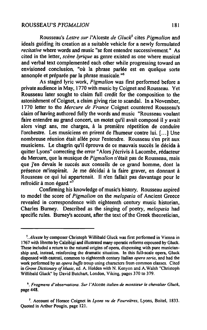Rousseau's *Lellre sur* l'Alceste *de Gluck'* cites *Pigmalion* and ideals guiding its creation as a suitable vehicle for a newly formulated *recitative* where words and music "se font entendre successivement" As cited in the letter, *scène lyrique* as genre existed as one where musical and verbal text complemented each other while progressing toward an envisioned conclusion. "où la phrase parlée est en quelque sorte annoncée et préparée par la phrase musicale."<sup>6</sup>

As staged lyric work, *Pigmalion* was first performed before a private audience in May, 1770 with music by Coignet and Rousseau. Yet Rousseau later sought to claim full credit for the composition to the astonishment of Coignet, a claim giving rise to scandaI. In a November, 1770 letter to the *Mercure de France* Coignet countered Rousseau's claim of having authored fully the words and music "Rousseau voulant faire entendre au grand concert, un motet qu'il avait composé il y avait alors vingt ans, me chargea, à la première répetition de conduire l'orchestre. Les musiciens en prirent de l'humeur contre lui. [ ... ] Une nombreuse réunion était allée pour l'entendre. Rousseau s'en prit aux musiciens. Le chagrin qu'il éprouva de ce mauvais succès le décida à quitter Lyons" correcting the error "Alors j'écrivis à Lacombe, rédacteur du Mercure, que la musique de *Pigmalion* n'était pas de Rousseau, mais que j'en devais le succés aux conseils de ce grand homme, dont la présence m'inspirait. Je me décidai à la faire graver, en donnant à Rousseau ce qui lui appartenait. Il n'en fallait pas davantage pour le refroidir à mon égard.  $\overline{r}$ <sup>7</sup>

Confirming his knowledge of music's history. Rousseau aspired to model the score of *Pigmalion* on the *melopœia* of Ancient Greece revealed in correspondence with eighteenth century music historian, Charles Burney. Described as the singing of poetry, *melopœia* had specific rules. Burney's account, after the text of the Greek theoretician,

6. *Fragmens d·observations. Sur* l'Alceste *italien de monsieur le chevalier Gluck.*  page 448.

<sup>&</sup>lt;sup>5</sup>. Alceste by composer Christoph Willibald Gluck was first performed in Vienna in 1767 with libretto by Calzibigi and iIIUstraled many operatic reforms espoused by Gluck. These included a retum to the natural origins of opera, dispensing with pure musicianship and. instead, reinforcing the dramatic situation. In this full-scale opera, Gluck dispensed with castrati, common to eighteenth century Italian *opera seria,* and had the work performed by an *opera buffa* troup using characters from common classes. Cited in *Grave Dictionary of Music,* ed. A. Holden with N. Kenyon and A. Walsh "Christoph Willibald Gluck" by David Butchan, London, Viking, pages 370 to 379.

<sup>7.</sup> Account of Horace Coignet in *Lyons vu de Fourvières,* Lyons. Boitel, 1833. Quoted in Arthur Pougin. page 121.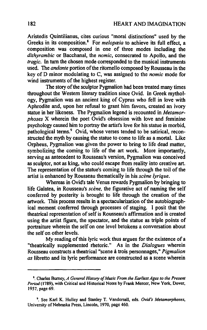Aristedis Quintilianus, cites curious "moral distinctions" used by the Greeks in its composition.8 For *melopœia* to achieve its full effect, a composition was composed in one of three modes including the *dilhyrambic* or Bacchanal, the *nomic,* consecrated to Apollo, and the *tragic.* In turn the chosen mode corresponded to the musical instruments used. The *andante* portion of the ritornello composed by Rousseau in the key of D minor modulating to C, was assigned to the *nomic* mode for wind instruments of the highest register.

The story of the sculptor Pygmalion had been treated many times throughout the Western Iiterary tradition since Ovid. ln Greek mythology, Pygmalion was an ancient king of Cyprus who fell in love with Aphrodite and, upon her refusaI to grant him favors, created an ivory statue in her likeness. The Pygmalion legend is recounted in *Metamorphoses* X wherein the poet Ovid's obsession with love and feminine psychology caused him to portray the artist's love for his statue in morbid, pathological terms.<sup>9</sup> Ovid, whose verses tended to be satirical, reconstructed the myth by causing the statue to come to life as a mortal. Like Orpheus, Pygmalion was given the power to bring to life dead matter, symbolizing the coming to Iife of the art work. More importantly, serving as antecedent to Rousseau's version, Pygmalion was conceived as sculptor, not as king, who could escape from reality into creative art. The representation of the statue's coming to life through the toil of the artist is enhanced by Rousseau thematically in his *scène lyrique.* 

Whereas in Ovid's tale Venus rewards Pygmalion by bringing to Iife Galatea, in Rousseau's *scène,* the figurative act of naming the self conferred by posterity is brought to life through the creation of the artwork. This process results in a spectacularization of the autobiographical moment conferred through processes of staging. 1 posit that the theatrical representation of self is Rousseau's affirmation and is created using the artist figure, the spectator, and the statue as triple points of portraiture wherein the self on one level betokens a conversation about the self on other levels.

My reading of this lyric work thus argues for the existence of a "theatrically supplemented rhetoric." As in the *Dialogues* wherein Rousseau constructs a theatrical "scene à trois personnages," *Pigmalion as* libretto and its lyric performance are constructed as a scene wherein

<sup>&#</sup>x27;. Charles Burney, *A General History of Music From the Earliest Ages to the Present Period(1789),* with Critièal and Historical Notes by Frank Mercer, New York, Dover, 1957, page 69.

<sup>9.</sup> See Karl K. Hulley and Stanley T. Vandersall, eds. *Ovid's Metamorphoses,*  University of Nebraska Press, Lincoln, 1970, page 460.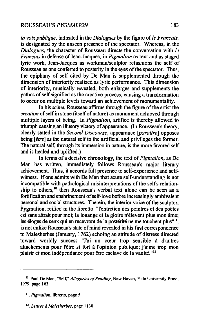*la voix publique,* indicated in the *Dialogues* by the figure of *le Francais,*  is designated by the unseen presence of the spectator. Whereas, in the *Dialogues,* the character of Rousseau directs the conversation with *le Francais* in defense of Jean-Jacques, in *Pigmalion* as text and as staged lyric work, Jean-Jacques as workman/sculptor refashions the self of Rousseau as one conferred to posterity in the eyes of the spectator. Thus, the epiphany of self cited by De Man is supplemented through the dimension of interiority realized as lyric performance. This dimension of interiority, musically revealed, both enlarges and supplements the pathos of self signified as the creative process, causing a transfonnation to occur on multiple levels toward an achievement of monumentality.

In *hisscène,* Rousseau affinns through the figure of the artist the *creation* of self in stone (itself of nature) as monument achieved through multiple layers of being. In *Pigmalion,* artifice is thereby allowed to triumph causing an illusory victory of appearance. (In Rousseau's theory, clearly stated in the *Second Discourse,* appearance *[paraître]* opposes being *[être]* as the natural self to the artificial and privileges the former. The natural self, through its immersion in nature, is the more favored self and is healed and uplifted.)

In tenns ofa decisive chronology, the text of *Pigmalion,* as De Man has written, immediately follows Rousseau's major literary achievement. Thus, it accords full presence to self-experience and selfwitness. If one admits with De Man that acute self-understanding is not incompatible with pathological misinterpretations of the selfs relationship to others,<sup>10</sup> then Rousseau's verbal text alone can be seen as a fortification and enshrinement of self-love before increasingly ambivalent personal and social structures. Therein, the interior voice of the sculptor, Pygmalion, reified in the libretto "l'entretien des peintres et des poëtes est sans attrait pour moi; la louange et la gloire n'élevent plus mon âme; les éloges de ceux qui en recevront de la postérité ne me touchent plus"<sup>11</sup>, is not unlike Rousseau's state of mind revealed in his first correspondence to Malesherbes (January, 1762) echoing an attitude of distress directed toward worldly success "J'ai un cœur trop sensible à d'autres attachements pour l'être si fort à l'opinion publique; j'aime trop mon plaisir et mon indépendance pour être esclave de la vanité." 12

<sup>10.</sup> Paul De Man, "Self," *Allegories o/Reading,* New Haven, Yale University Press, 1979, page 163.

<sup>&</sup>lt;sup>11</sup>. *Pigmalion*, libretto, page 5.

<sup>&</sup>lt;sup>12</sup>. Lettres à Malesherbes, page 1130.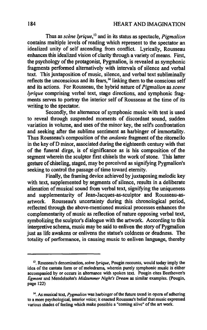Thus as *scène lyrique,13* and in its status as spectacle, *Pigmalion*  contains multiple levels of reading which represent to the spectator an idealized unity of self ascending from conflict. Lyrically, Rousseau enhances this idealized vision of clarity through a varlety of means. First, the psychology of the protagonist, Pygmalion, is revealed as symphonic fragments performed altematively with intervals of silence and verbal text. This juxtaposition of music, silence, and verbal text subliminally reflects the unconscious and its fears, $14$  linking them to the conscious self and its actions. For Rousseau, the hybrid nature of *Pigmalion* as *scene lyrique* comprising verbal text, stage directions, and symphonic fragments serves to portray the interior self of Rousseau at the time of its writing to the spectator.

Secondly, the alternance of symphonic music with text is used to reveal through suspended moments of discordant sound, sudden variation in volume, and uses of the minor key, the selfs confrontation and seeking after the sublime sentiment as harbinger of immortality. Thus Rousseau's composition of the *andante* fragment of the ritornello in the key of D minor, associated during the eighteenth century with that of the funeral dirge, is of significance as is his composition of the segment wherein the sculptor first chisels the work of stone. This latter gesture of chiseling, staged, may be perceived as signifying Pygmalion's seeking to control the passage of time toward eternity.

Finally, the framing device achieved by juxtaposing melodic key with text, supplemented by segments of silence, results in a deliberate alienation of musical sound from verbal text, signifying the uniqueness and supplementarity of Jean-Jacques-as-sculptor and Rousseau-asartwork. Rousseau's uncertainty during this chronological period, reflected through the above-mentioned musical processes enhances the complementarity of music as reflection of nature opposing verbal text, symbolizing the sculptor's dialogue with the artwork. According to this interpretive schema, music may be said to enliven the story of Pygmalion just as life awakens or enlivens the statue's coldness or deadness. The totality of performance, in causing music to enliven language, thereby

<sup>13.</sup> Rousseau's denomination, *scène lyrique,* Pougin reeounts, would today imply the idea of the cantata fonn or of melodrama, wherein purely symphonie music is either accompanied by or occurs in alternance with spoken text. Pougin cites Beethoven's *Egmont* and Mendelsohn's *Midsummer Night's Dream* as similar examples. (Pougin, page 122)

<sup>14.</sup> As musical text, *Pygmalion* was harbinger of the future trend in opera of adhering to a more psychological, interior voice; it enacted Rousseau's belief that music expressed various shades of feeling which make possible a "coming alive" of the art work.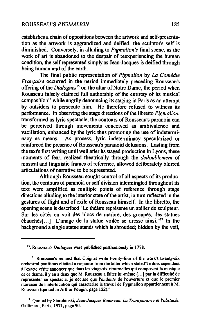establishes a chain of oppositions between the artwork and self-presentation as the artwork is aggrandized and deified, the sculptor's self is diminished. Conversely, in alluding to *Pigmalion's* final scene, as the work of art is abandoned to the despair of reexperiencing the human condition, the self represented simply as Jean-Jacques is deified through being human and of the earth.

The final public representation of *Pigmalion* by *La Comédie Française* occurred in the period immediately preceding Rousseau's offering of the *Dialogues*<sup>15</sup> on the altar of Notre Dame, the period when Rousseau falsely claimed full authorship of the entirety of its musical composition<sup>16</sup> while angrily denouncing its staging in Paris as an attempt by outsiders to persecute him. He therefore refused to witness its performance. In observing the stage directions of the libretto *Pigmalion,*  transformed as lyric spectacle, the contours of Rousseau's paranoia can be perceived through movements conceived as ambivalence and vacillation, enhanced by the lyric thus promoting the use of indeterminacy as means. As process, lyric indeterminacy specularized or reinforced the presence of Rousseau's paranoid delusions. Lasting from the text's first writing until well after its staged production in Lyons, these moments of fear, realized theatrically through the *dedoublement* of musical and linguistic frames of reference, allowed deliberately blurred articulations of narrative to be represented.

Although Rousseau sought control of ail aspects of its production, the contours of paranoia or self division intermingled throughout its text were amplified as multiple points of reference through stage directions alluding to the interior state of the artist, in tum reflected in the gestures of flight and of exile of Rousseau himself. **In** the libretto, the opening scene is described "Le théâtre représente un atélier de sculpteur. Sur les côtés on voit des blocs de marbre, des groupes, des statues  $\epsilon$ bauchés $[...]$  L'image de la statue voilée se dresse ainsi."<sup>17</sup> In the background a single statue stands which is shrouded; hidden by the veil,

<sup>15.</sup> Rousseau's *Dialogues* were published posthumously in 1778.

<sup>16.</sup> Rousseau's request that Coignet write twenty-four of the work's twenty-six orchestral partitions elicited a response from the latter which stated"Je dois cependant à l'exacte vérité annoncer que dans les vingt-six ritournelles qui composent la musique de ce drame. il Y en a deux que M. Rousseau a faites lui-même [ ... ] par la difficulté de représenter ce spectacle. je déclare que *l'andante* de l'ouverture et que le premier morceau de l'interlocution qui caractérise le travail de Pygmalion appartiennent à M. Rousseau (quoted in Arthur Pougin. page 122)."

<sup>17.</sup> Quoted by Starobinski, *Jean-Jacques Rousseau. La Transparence et l'obstacle,*  Gallimard, Paris, 1971, page 90.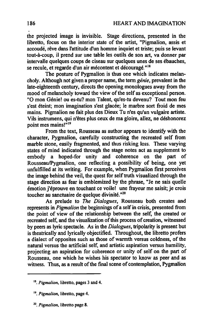the projected image is invisible. Stage directions, presented in the libretto, focus on the interior state of the artist, "Pigmalion, assis et accoudé, rêve dans l'attitude d'un homme inquiet et triste; puis se levant tout-à-coup, il prend sur une table les outils de son art, va donner par intervalle quelques coups de ciseau sur quelques unes de ses ébauches, se recule, et regarde d'un air mécontent et découragé."<sup>18</sup>

The posture of Pygmalion is thus one which indicates melancholy. Although not given a proper narne, the term *génie,* prevalent in the late-eighteenth century, directs the opening monologues away from the mood of melancholy toward the view of the self as exceptional person. "0 mon Génie! ou es-tu? mon Talent, qu'es-tu devenu? Tout mon feu s'est éteint; mon imagination s'est glacée; le marbre sort froid de mes mains. Pigmalion ne fait plus des Dieux Tu n'es qu'un vulgaire artiste. Vils instrumens, qui n'êtes plus ceux de ma gloire, allez, ne déshonorez point mes mains!"<sup>19</sup>

From the text, Rousseau as author appears to identify with the character, Pygmalion, carefully constructing the recreated self from marble stone, easily fragmented, and thus risking loss. These varying states of mind indicated through the stage notes act as supplement to embody a hoped-for unity and coherence on the part of Rousseau/Pygmalion, one reflecting a possibility of being, one yet unfulfilled at its writing. For example, when Pygmalion first perceives the image behind the veil, the quest for selftruth visualized through the stage direction as fear is emblemized by the phrase, "Je ne sais quelle émotion j'éprouve en touchant ce voile! une frayeur me saisit; je crois toucher au sanctuaire de quelque divinité.  $n^{20}$ 

As prelude to *The Dialogues,* Rousseau both creates and represents in *Pigmalion* the beginnings of a self in crisis, presented from the point of view of the relationship between the self, the created or recreated self, and the visualization of this process of creation, witnessed by peers as lyric spectacle. As in the *Dialogues,* tripolarity is present but is theatrically and Iyrically objectified. Throughout, the libretto profers a dialect of opposites such as those of warmth versus coldness, of the natural versus the artificial self, and artistic aspiration versus humility, projecting an aspiration for coherence or unity of self on the part of Rousseau, one which he wishes his spectator to know as peer and as witness. Thus, as a result of the final scene of contemplation, Pygmalion

*20. Pigmalion,* libretto page 8.

<sup>&</sup>lt;sup>18</sup>. *Pigmalion*, libretto, pages 3 and 4.

<sup>19.</sup> *Pigmalion,* libretto, page 4.